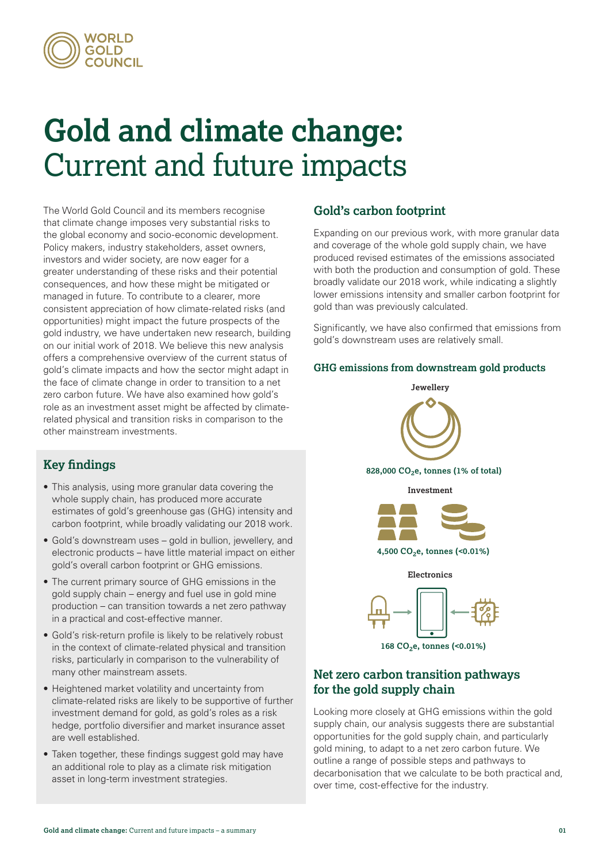

# **Gold and climate change:**  Current and future impacts

The World Gold Council and its members recognise that climate change imposes very substantial risks to the global economy and socio-economic development. Policy makers, industry stakeholders, asset owners, investors and wider society, are now eager for a greater understanding of these risks and their potential consequences, and how these might be mitigated or managed in future. To contribute to a clearer, more consistent appreciation of how climate-related risks (and opportunities) might impact the future prospects of the gold industry, we have undertaken new research, building on our initial work of 2018. We believe this new analysis offers a comprehensive overview of the current status of gold's climate impacts and how the sector might adapt in the face of climate change in order to transition to a net zero carbon future. We have also examined how gold's role as an investment asset might be affected by climaterelated physical and transition risks in comparison to the other mainstream investments.

## **Key findings**

- This analysis, using more granular data covering the whole supply chain, has produced more accurate estimates of gold's greenhouse gas (GHG) intensity and carbon footprint, while broadly validating our 2018 work.
- Gold's downstream uses gold in bullion, jewellery, and electronic products – have little material impact on either gold's overall carbon footprint or GHG emissions.
- The current primary source of GHG emissions in the gold supply chain – energy and fuel use in gold mine production – can transition towards a net zero pathway in a practical and cost-effective manner.
- Gold's risk-return profile is likely to be relatively robust in the context of climate-related physical and transition risks, particularly in comparison to the vulnerability of many other mainstream assets.
- Heightened market volatility and uncertainty from climate-related risks are likely to be supportive of further investment demand for gold, as gold's roles as a risk hedge, portfolio diversifier and market insurance asset are well established.
- Taken together, these findings suggest gold may have an additional role to play as a climate risk mitigation asset in long-term investment strategies.

## **Gold's carbon footprint**

Expanding on our previous work, with more granular data and coverage of the whole gold supply chain, we have produced revised estimates of the emissions associated with both the production and consumption of gold. These broadly validate our 2018 work, while indicating a slightly lower emissions intensity and smaller carbon footprint for gold than was previously calculated.

Significantly, we have also confirmed that emissions from gold's downstream uses are relatively small.

#### **GHG emissions from downstream gold products GHG emissions from downstream gold products**



## **Net zero carbon transition pathways for the gold supply chain**

Looking more closely at GHG emissions within the gold supply chain, our analysis suggests there are substantial opportunities for the gold supply chain, and particularly gold mining, to adapt to a net zero carbon future. We outline a range of possible steps and pathways to decarbonisation that we calculate to be both practical and, over time, cost-effective for the industry.